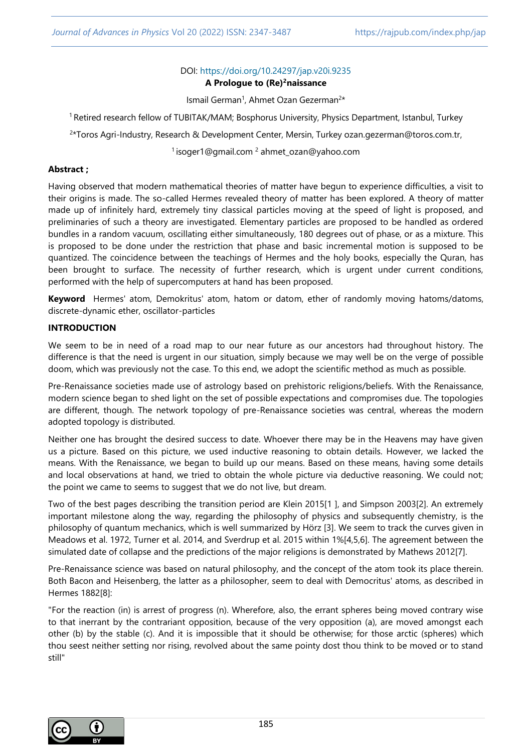### DOI: <https://doi.org/10.24297/jap.v20i.9235>

#### **A Prologue to (Re)<sup>2</sup>naissance**

Ismail German<sup>1</sup>, Ahmet Ozan Gezerman<sup>2\*</sup>

<sup>1</sup> Retired research fellow of TUBITAK/MAM; Bosphorus University, Physics Department, Istanbul, Turkey

2 \*Toros Agri-Industry, Research & Development Center, Mersin, Turkey [ozan.gezerman@toros.com.tr,](mailto:ozan.gezerman@toros.com.tr)

<sup>1</sup> [isoger1@gmail.com](mailto:isoger1@gmail.com)<sup>2</sup> ahmet\_ozan@yahoo.com

#### **Abstract ;**

Having observed that modern mathematical theories of matter have begun to experience difficulties, a visit to their origins is made. The so-called Hermes revealed theory of matter has been explored. A theory of matter made up of infinitely hard, extremely tiny classical particles moving at the speed of light is proposed, and preliminaries of such a theory are investigated. Elementary particles are proposed to be handled as ordered bundles in a random vacuum, oscillating either simultaneously, 180 degrees out of phase, or as a mixture. This is proposed to be done under the restriction that phase and basic incremental motion is supposed to be quantized. The coincidence between the teachings of Hermes and the holy books, especially the Quran, has been brought to surface. The necessity of further research, which is urgent under current conditions, performed with the help of supercomputers at hand has been proposed.

**Keyword** Hermes' atom, Demokritus' atom, hatom or datom, ether of randomly moving hatoms/datoms, discrete-dynamic ether, oscillator-particles

### **INTRODUCTION**

We seem to be in need of a road map to our near future as our ancestors had throughout history. The difference is that the need is urgent in our situation, simply because we may well be on the verge of possible doom, which was previously not the case. To this end, we adopt the scientific method as much as possible.

Pre-Renaissance societies made use of astrology based on prehistoric religions/beliefs. With the Renaissance, modern science began to shed light on the set of possible expectations and compromises due. The topologies are different, though. The network topology of pre-Renaissance societies was central, whereas the modern adopted topology is distributed.

Neither one has brought the desired success to date. Whoever there may be in the Heavens may have given us a picture. Based on this picture, we used inductive reasoning to obtain details. However, we lacked the means. With the Renaissance, we began to build up our means. Based on these means, having some details and local observations at hand, we tried to obtain the whole picture via deductive reasoning. We could not; the point we came to seems to suggest that we do not live, but dream.

Two of the best pages describing the transition period are Klein 2015[1 ], and Simpson 2003[2]. An extremely important milestone along the way, regarding the philosophy of physics and subsequently chemistry, is the philosophy of quantum mechanics, which is well summarized by Hörz [3]. We seem to track the curves given in Meadows et al. 1972, Turner et al. 2014, and Sverdrup et al. 2015 within 1%[4,5,6]. The agreement between the simulated date of collapse and the predictions of the major religions is demonstrated by Mathews 2012[7].

Pre-Renaissance science was based on natural philosophy, and the concept of the atom took its place therein. Both Bacon and Heisenberg, the latter as a philosopher, seem to deal with Democritus' atoms, as described in Hermes 1882[8]:

"For the reaction (in) is arrest of progress (n). Wherefore, also, the errant spheres being moved contrary wise to that inerrant by the contrariant opposition, because of the very opposition (a), are moved amongst each other (b) by the stable (c). And it is impossible that it should be otherwise; for those arctic (spheres) which thou seest neither setting nor rising, revolved about the same pointy dost thou think to be moved or to stand still"

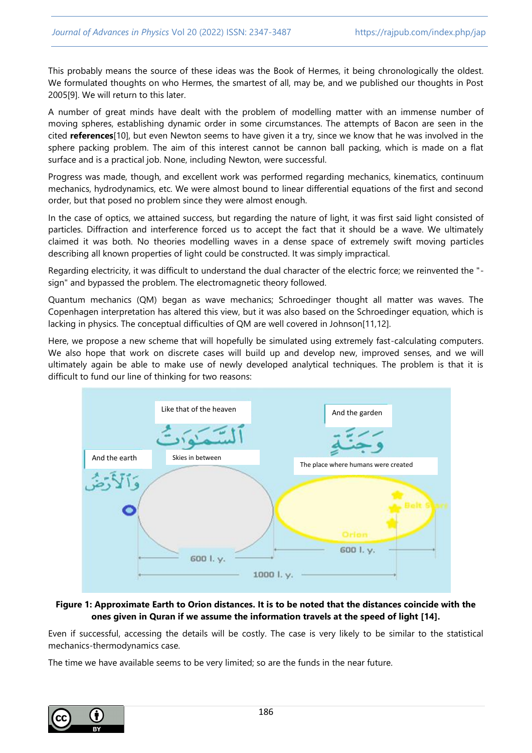This probably means the source of these ideas was the Book of Hermes, it being chronologically the oldest. We formulated thoughts on who Hermes, the smartest of all, may be, and we published our thoughts in Post 2005[9]. We will return to this later.

A number of great minds have dealt with the problem of modelling matter with an immense number of moving spheres, establishing dynamic order in some circumstances. The attempts of Bacon are seen in the cited **references**[10], but even Newton seems to have given it a try, since we know that he was involved in the sphere packing problem. The aim of this interest cannot be cannon ball packing, which is made on a flat surface and is a practical job. None, including Newton, were successful.

Progress was made, though, and excellent work was performed regarding mechanics, kinematics, continuum mechanics, hydrodynamics, etc. We were almost bound to linear differential equations of the first and second order, but that posed no problem since they were almost enough.

In the case of optics, we attained success, but regarding the nature of light, it was first said light consisted of particles. Diffraction and interference forced us to accept the fact that it should be a wave. We ultimately claimed it was both. No theories modelling waves in a dense space of extremely swift moving particles describing all known properties of light could be constructed. It was simply impractical.

Regarding electricity, it was difficult to understand the dual character of the electric force; we reinvented the " sign" and bypassed the problem. The electromagnetic theory followed.

Quantum mechanics (QM) began as wave mechanics; Schroedinger thought all matter was waves. The Copenhagen interpretation has altered this view, but it was also based on the Schroedinger equation, which is lacking in physics. The conceptual difficulties of QM are well covered in Johnson[11,12].

Here, we propose a new scheme that will hopefully be simulated using extremely fast-calculating computers. We also hope that work on discrete cases will build up and develop new, improved senses, and we will ultimately again be able to make use of newly developed analytical techniques. The problem is that it is difficult to fund our line of thinking for two reasons:



### **Figure 1: Approximate Earth to Orion distances. It is to be noted that the distances coincide with the ones given in Quran if we assume the information travels at the speed of light [14].**

Even if successful, accessing the details will be costly. The case is very likely to be similar to the statistical mechanics-thermodynamics case.

The time we have available seems to be very limited; so are the funds in the near future.

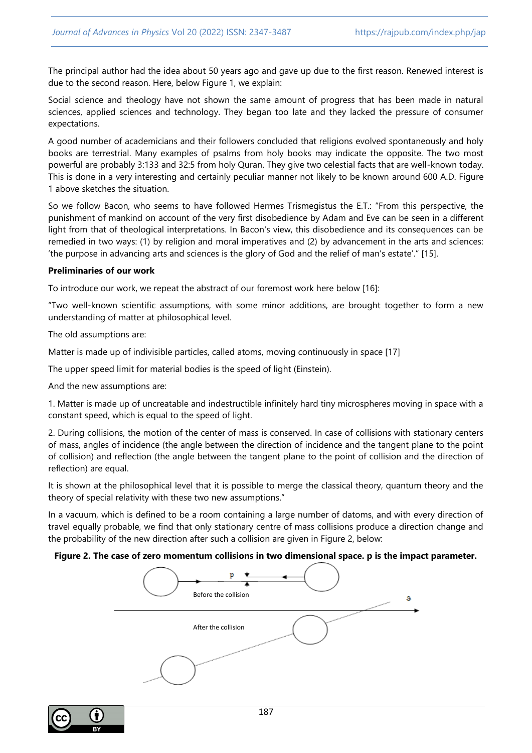The principal author had the idea about 50 years ago and gave up due to the first reason. Renewed interest is due to the second reason. Here, below Figure 1, we explain:

Social science and theology have not shown the same amount of progress that has been made in natural sciences, applied sciences and technology. They began too late and they lacked the pressure of consumer expectations.

A good number of academicians and their followers concluded that religions evolved spontaneously and holy books are terrestrial. Many examples of psalms from holy books may indicate the opposite. The two most powerful are probably 3:133 and 32:5 from holy Quran. They give two celestial facts that are well-known today. This is done in a very interesting and certainly peculiar manner not likely to be known around 600 A.D. Figure 1 above sketches the situation.

So we follow Bacon, who seems to have followed Hermes Trismegistus the E.T.: "From this perspective, the punishment of mankind on account of the very first disobedience by Adam and Eve can be seen in a different light from that of theological interpretations. In Bacon's view, this disobedience and its consequences can be remedied in two ways: (1) by religion and moral imperatives and (2) by advancement in the arts and sciences: 'the purpose in advancing arts and sciences is the glory of God and the relief of man's estate'." [15].

#### **Preliminaries of our work**

To introduce our work, we repeat the abstract of our foremost work here below [16]:

"Two well-known scientific assumptions, with some minor additions, are brought together to form a new understanding of matter at philosophical level.

The old assumptions are:

Matter is made up of indivisible particles, called atoms, moving continuously in space [17]

The upper speed limit for material bodies is the speed of light (Einstein).

And the new assumptions are:

1. Matter is made up of uncreatable and indestructible infinitely hard tiny microspheres moving in space with a constant speed, which is equal to the speed of light.

2. During collisions, the motion of the center of mass is conserved. In case of collisions with stationary centers of mass, angles of incidence (the angle between the direction of incidence and the tangent plane to the point of collision) and reflection (the angle between the tangent plane to the point of collision and the direction of reflection) are equal.

It is shown at the philosophical level that it is possible to merge the classical theory, quantum theory and the theory of special relativity with these two new assumptions."

In a vacuum, which is defined to be a room containing a large number of datoms, and with every direction of travel equally probable, we find that only stationary centre of mass collisions produce a direction change and the probability of the new direction after such a collision are given in Figure 2, below:

#### **Figure 2. The case of zero momentum collisions in two dimensional space. p is the impact parameter.**

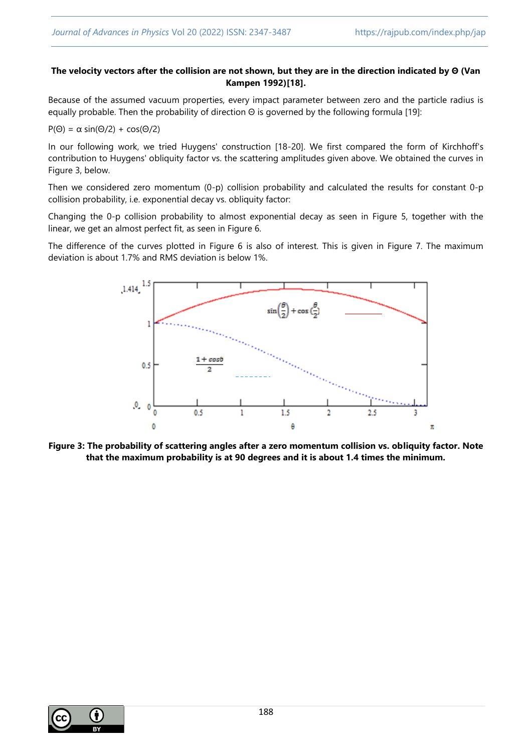# **The velocity vectors after the collision are not shown, but they are in the direction indicated by Θ (Van Kampen 1992)[18].**

Because of the assumed vacuum properties, every impact parameter between zero and the particle radius is equally probable. Then the probability of direction Θ is governed by the following formula [19]:

 $P(\Theta) = \alpha \sin(\Theta/2) + \cos(\Theta/2)$ 

In our following work, we tried Huygens' construction [18-20]. We first compared the form of Kirchhoff's contribution to Huygens' obliquity factor vs. the scattering amplitudes given above. We obtained the curves in Figure 3, below.

Then we considered zero momentum (0-p) collision probability and calculated the results for constant 0-p collision probability, i.e. exponential decay vs. obliquity factor:

Changing the 0-p collision probability to almost exponential decay as seen in Figure 5, together with the linear, we get an almost perfect fit, as seen in Figure 6.

The difference of the curves plotted in Figure 6 is also of interest. This is given in Figure 7. The maximum deviation is about 1.7% and RMS deviation is below 1%.



**Figure 3: The probability of scattering angles after a zero momentum collision vs. obliquity factor. Note that the maximum probability is at 90 degrees and it is about 1.4 times the minimum.**

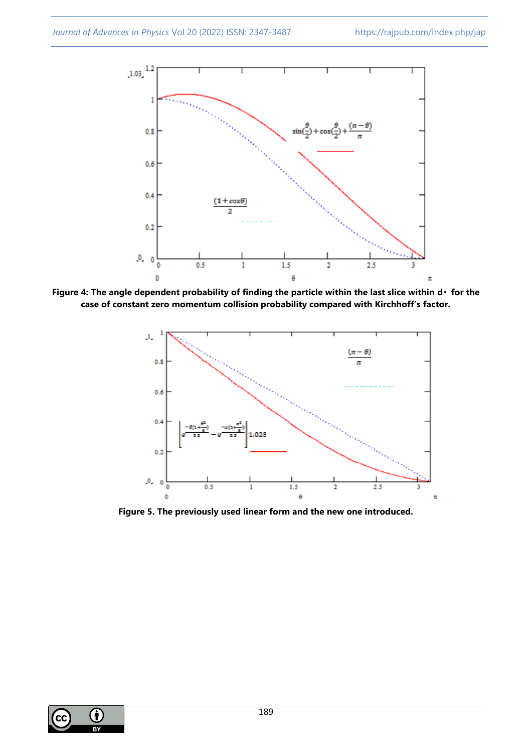

Figure 4: The angle dependent probability of finding the particle within the last slice within d· for the **case of constant zero momentum collision probability compared with Kirchhoff's factor.**



**Figure 5. The previously used linear form and the new one introduced.**

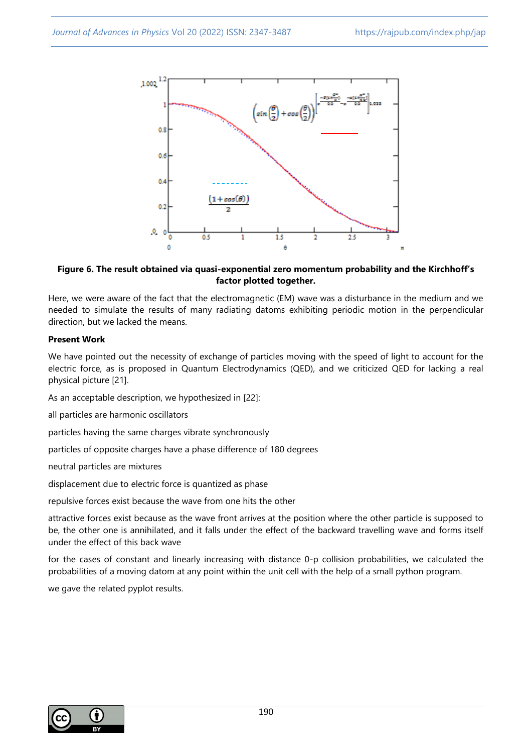

# **Figure 6. The result obtained via quasi-exponential zero momentum probability and the Kirchhoff's factor plotted together.**

Here, we were aware of the fact that the electromagnetic (EM) wave was a disturbance in the medium and we needed to simulate the results of many radiating datoms exhibiting periodic motion in the perpendicular direction, but we lacked the means.

# **Present Work**

We have pointed out the necessity of exchange of particles moving with the speed of light to account for the electric force, as is proposed in Quantum Electrodynamics (QED), and we criticized QED for lacking a real physical picture [21].

As an acceptable description, we hypothesized in [22]:

all particles are harmonic oscillators

particles having the same charges vibrate synchronously

particles of opposite charges have a phase difference of 180 degrees

neutral particles are mixtures

displacement due to electric force is quantized as phase

repulsive forces exist because the wave from one hits the other

attractive forces exist because as the wave front arrives at the position where the other particle is supposed to be, the other one is annihilated, and it falls under the effect of the backward travelling wave and forms itself under the effect of this back wave

for the cases of constant and linearly increasing with distance 0-p collision probabilities, we calculated the probabilities of a moving datom at any point within the unit cell with the help of a small python program.

we gave the related pyplot results.

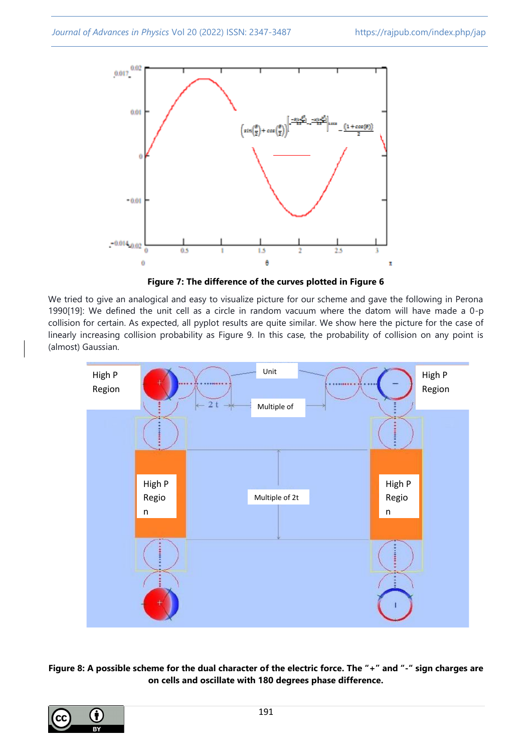

**Figure 7: The difference of the curves plotted in Figure 6**

We tried to give an analogical and easy to visualize picture for our scheme and gave the following in Perona 1990[19]: We defined the unit cell as a circle in random vacuum where the datom will have made a 0-p collision for certain. As expected, all pyplot results are quite similar. We show here the picture for the case of linearly increasing collision probability as Figure 9. In this case, the probability of collision on any point is (almost) Gaussian.



# **Figure 8: A possible scheme for the dual character of the electric force. The "+" and "-" sign charges are on cells and oscillate with 180 degrees phase difference.**

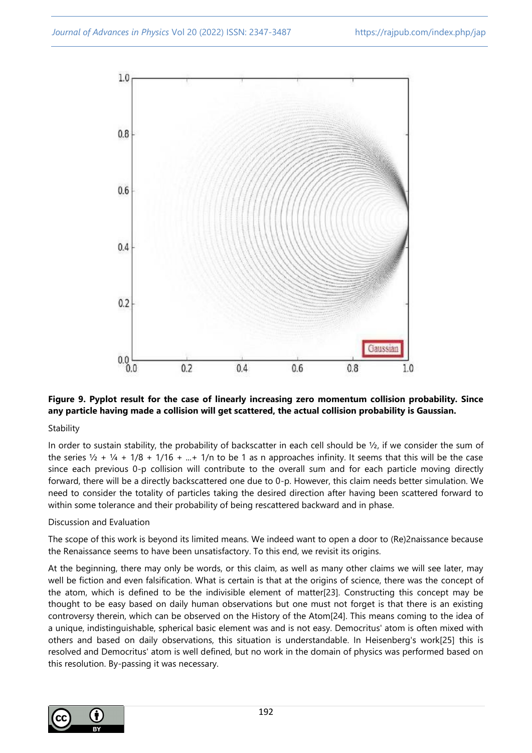

# **Figure 9. Pyplot result for the case of linearly increasing zero momentum collision probability. Since any particle having made a collision will get scattered, the actual collision probability is Gaussian.**

# Stability

In order to sustain stability, the probability of backscatter in each cell should be  $\frac{1}{2}$ , if we consider the sum of the series  $\frac{1}{2} + \frac{1}{4} + \frac{1}{8} + \frac{1}{16} + \dots + \frac{1}{n}$  to be 1 as n approaches infinity. It seems that this will be the case since each previous 0-p collision will contribute to the overall sum and for each particle moving directly forward, there will be a directly backscattered one due to 0-p. However, this claim needs better simulation. We need to consider the totality of particles taking the desired direction after having been scattered forward to within some tolerance and their probability of being rescattered backward and in phase.

# Discussion and Evaluation

The scope of this work is beyond its limited means. We indeed want to open a door to (Re)2naissance because the Renaissance seems to have been unsatisfactory. To this end, we revisit its origins.

At the beginning, there may only be words, or this claim, as well as many other claims we will see later, may well be fiction and even falsification. What is certain is that at the origins of science, there was the concept of the atom, which is defined to be the indivisible element of matter[23]. Constructing this concept may be thought to be easy based on daily human observations but one must not forget is that there is an existing controversy therein, which can be observed on the History of the Atom[24]. This means coming to the idea of a unique, indistinguishable, spherical basic element was and is not easy. Democritus' atom is often mixed with others and based on daily observations, this situation is understandable. In Heisenberg's work[25] this is resolved and Democritus' atom is well defined, but no work in the domain of physics was performed based on this resolution. By-passing it was necessary.

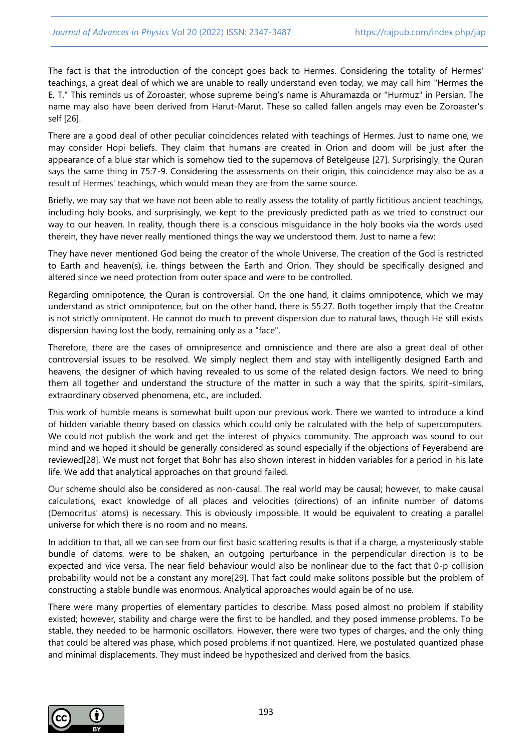The fact is that the introduction of the concept goes back to Hermes. Considering the totality of Hermes' teachings, a great deal of which we are unable to really understand even today, we may call him "Hermes the E. T." This reminds us of Zoroaster, whose supreme being's name is Ahuramazda or "Hurmuz" in Persian. The name may also have been derived from Harut-Marut. These so called fallen angels may even be Zoroaster's self [26].

There are a good deal of other peculiar coincidences related with teachings of Hermes. Just to name one, we may consider Hopi beliefs. They claim that humans are created in Orion and doom will be just after the appearance of a blue star which is somehow tied to the supernova of Betelgeuse [27]. Surprisingly, the Quran says the same thing in 75:7-9. Considering the assessments on their origin, this coincidence may also be as a result of Hermes' teachings, which would mean they are from the same source.

Briefly, we may say that we have not been able to really assess the totality of partly fictitious ancient teachings, including holy books, and surprisingly, we kept to the previously predicted path as we tried to construct our way to our heaven. In reality, though there is a conscious misguidance in the holy books via the words used therein, they have never really mentioned things the way we understood them. Just to name a few:

They have never mentioned God being the creator of the whole Universe. The creation of the God is restricted to Earth and heaven(s), i.e. things between the Earth and Orion. They should be specifically designed and altered since we need protection from outer space and were to be controlled.

Regarding omnipotence, the Quran is controversial. On the one hand, it claims omnipotence, which we may understand as strict omnipotence, but on the other hand, there is 55:27. Both together imply that the Creator is not strictly omnipotent. He cannot do much to prevent dispersion due to natural laws, though He still exists dispersion having lost the body, remaining only as a "face".

Therefore, there are the cases of omnipresence and omniscience and there are also a great deal of other controversial issues to be resolved. We simply neglect them and stay with intelligently designed Earth and heavens, the designer of which having revealed to us some of the related design factors. We need to bring them all together and understand the structure of the matter in such a way that the spirits, spirit-similars, extraordinary observed phenomena, etc., are included.

This work of humble means is somewhat built upon our previous work. There we wanted to introduce a kind of hidden variable theory based on classics which could only be calculated with the help of supercomputers. We could not publish the work and get the interest of physics community. The approach was sound to our mind and we hoped it should be generally considered as sound especially if the objections of Feyerabend are reviewed[28]. We must not forget that Bohr has also shown interest in hidden variables for a period in his late life. We add that analytical approaches on that ground failed.

Our scheme should also be considered as non-causal. The real world may be causal; however, to make causal calculations, exact knowledge of all places and velocities (directions) of an infinite number of datoms (Democritus' atoms) is necessary. This is obviously impossible. It would be equivalent to creating a parallel universe for which there is no room and no means.

In addition to that, all we can see from our first basic scattering results is that if a charge, a mysteriously stable bundle of datoms, were to be shaken, an outgoing perturbance in the perpendicular direction is to be expected and vice versa. The near field behaviour would also be nonlinear due to the fact that 0-p collision probability would not be a constant any more[29]. That fact could make solitons possible but the problem of constructing a stable bundle was enormous. Analytical approaches would again be of no use.

There were many properties of elementary particles to describe. Mass posed almost no problem if stability existed; however, stability and charge were the first to be handled, and they posed immense problems. To be stable, they needed to be harmonic oscillators. However, there were two types of charges, and the only thing that could be altered was phase, which posed problems if not quantized. Here, we postulated quantized phase and minimal displacements. They must indeed be hypothesized and derived from the basics.

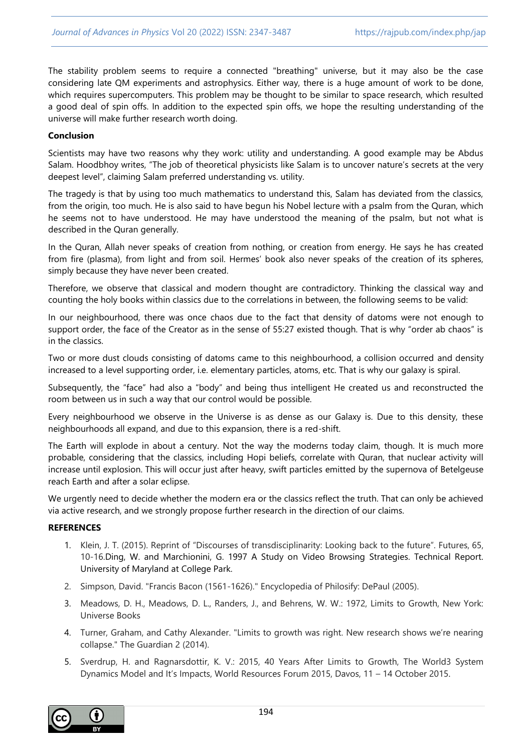The stability problem seems to require a connected "breathing" universe, but it may also be the case considering late QM experiments and astrophysics. Either way, there is a huge amount of work to be done, which requires supercomputers. This problem may be thought to be similar to space research, which resulted a good deal of spin offs. In addition to the expected spin offs, we hope the resulting understanding of the universe will make further research worth doing.

### **Conclusion**

Scientists may have two reasons why they work: utility and understanding. A good example may be Abdus Salam. Hoodbhoy writes, "The job of theoretical physicists like Salam is to uncover nature's secrets at the very deepest level", claiming Salam preferred understanding vs. utility.

The tragedy is that by using too much mathematics to understand this, Salam has deviated from the classics, from the origin, too much. He is also said to have begun his Nobel lecture with a psalm from the Quran, which he seems not to have understood. He may have understood the meaning of the psalm, but not what is described in the Quran generally.

In the Quran, Allah never speaks of creation from nothing, or creation from energy. He says he has created from fire (plasma), from light and from soil. Hermes' book also never speaks of the creation of its spheres, simply because they have never been created.

Therefore, we observe that classical and modern thought are contradictory. Thinking the classical way and counting the holy books within classics due to the correlations in between, the following seems to be valid:

In our neighbourhood, there was once chaos due to the fact that density of datoms were not enough to support order, the face of the Creator as in the sense of 55:27 existed though. That is why "order ab chaos" is in the classics.

Two or more dust clouds consisting of datoms came to this neighbourhood, a collision occurred and density increased to a level supporting order, i.e. elementary particles, atoms, etc. That is why our galaxy is spiral.

Subsequently, the "face" had also a "body" and being thus intelligent He created us and reconstructed the room between us in such a way that our control would be possible.

Every neighbourhood we observe in the Universe is as dense as our Galaxy is. Due to this density, these neighbourhoods all expand, and due to this expansion, there is a red-shift.

The Earth will explode in about a century. Not the way the moderns today claim, though. It is much more probable, considering that the classics, including Hopi beliefs, correlate with Quran, that nuclear activity will increase until explosion. This will occur just after heavy, swift particles emitted by the supernova of Betelgeuse reach Earth and after a solar eclipse.

We urgently need to decide whether the modern era or the classics reflect the truth. That can only be achieved via active research, and we strongly propose further research in the direction of our claims.

#### **REFERENCES**

- 1. Klein, J. T. (2015). Reprint of "Discourses of transdisciplinarity: Looking back to the future". Futures, 65, 10-16.Ding, W. and Marchionini, G. 1997 A Study on Video Browsing Strategies. Technical Report. University of Maryland at College Park.
- 2. Simpson, David. "Francis Bacon (1561-1626)." Encyclopedia of Philosify: DePaul (2005).
- 3. Meadows, D. H., Meadows, D. L., Randers, J., and Behrens, W. W.: 1972, Limits to Growth, New York: Universe Books
- 4. Turner, Graham, and Cathy Alexander. "Limits to growth was right. New research shows we're nearing collapse." The Guardian 2 (2014).
- 5. Sverdrup, H. and Ragnarsdottir, K. V.: 2015, 40 Years After Limits to Growth, The World3 System Dynamics Model and It's Impacts, World Resources Forum 2015, Davos, 11 – 14 October 2015.

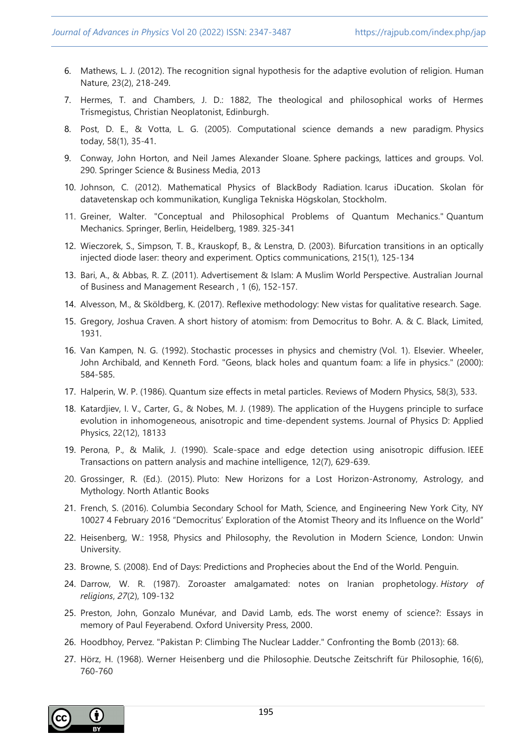- 6. Mathews, L. J. (2012). The recognition signal hypothesis for the adaptive evolution of religion. Human Nature, 23(2), 218-249.
- 7. Hermes, T. and Chambers, J. D.: 1882, The theological and philosophical works of Hermes Trismegistus, Christian Neoplatonist, Edinburgh.
- 8. Post, D. E., & Votta, L. G. (2005). Computational science demands a new paradigm. Physics today, 58(1), 35-41.
- 9. Conway, John Horton, and Neil James Alexander Sloane. Sphere packings, lattices and groups. Vol. 290. Springer Science & Business Media, 2013
- 10. Johnson, C. (2012). Mathematical Physics of BlackBody Radiation. Icarus iDucation. Skolan för datavetenskap och kommunikation, Kungliga Tekniska Högskolan, Stockholm.
- 11. Greiner, Walter. "Conceptual and Philosophical Problems of Quantum Mechanics." Quantum Mechanics. Springer, Berlin, Heidelberg, 1989. 325-341
- 12. Wieczorek, S., Simpson, T. B., Krauskopf, B., & Lenstra, D. (2003). Bifurcation transitions in an optically injected diode laser: theory and experiment. Optics communications, 215(1), 125-134
- 13. Bari, A., & Abbas, R. Z. (2011). Advertisement & Islam: A Muslim World Perspective. Australian Journal of Business and Management Research , 1 (6), 152-157.
- 14. Alvesson, M., & Sköldberg, K. (2017). Reflexive methodology: New vistas for qualitative research. Sage.
- 15. Gregory, Joshua Craven. A short history of atomism: from Democritus to Bohr. A. & C. Black, Limited, 1931.
- 16. Van Kampen, N. G. (1992). Stochastic processes in physics and chemistry (Vol. 1). Elsevier. Wheeler, John Archibald, and Kenneth Ford. "Geons, black holes and quantum foam: a life in physics." (2000): 584-585.
- 17. Halperin, W. P. (1986). Quantum size effects in metal particles. Reviews of Modern Physics, 58(3), 533.
- 18. Katardjiev, I. V., Carter, G., & Nobes, M. J. (1989). The application of the Huygens principle to surface evolution in inhomogeneous, anisotropic and time-dependent systems. Journal of Physics D: Applied Physics, 22(12), 18133
- 19. Perona, P., & Malik, J. (1990). Scale-space and edge detection using anisotropic diffusion. IEEE Transactions on pattern analysis and machine intelligence, 12(7), 629-639.
- 20. Grossinger, R. (Ed.). (2015). Pluto: New Horizons for a Lost Horizon-Astronomy, Astrology, and Mythology. North Atlantic Books
- 21. French, S. (2016). Columbia Secondary School for Math, Science, and Engineering New York City, NY 10027 4 February 2016 "Democritus' Exploration of the Atomist Theory and its Influence on the World"
- 22. Heisenberg, W.: 1958, Physics and Philosophy, the Revolution in Modern Science, London: Unwin University.
- 23. Browne, S. (2008). End of Days: Predictions and Prophecies about the End of the World. Penguin.
- 24. Darrow, W. R. (1987). Zoroaster amalgamated: notes on Iranian prophetology. *History of religions*, *27*(2), 109-132
- 25. Preston, John, Gonzalo Munévar, and David Lamb, eds. The worst enemy of science?: Essays in memory of Paul Feyerabend. Oxford University Press, 2000.
- 26. Hoodbhoy, Pervez. "Pakistan P: Climbing The Nuclear Ladder." Confronting the Bomb (2013): 68.
- 27. Hörz, H. (1968). Werner Heisenberg und die Philosophie. Deutsche Zeitschrift für Philosophie, 16(6), 760-760